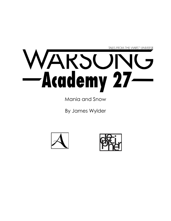

Mania and Snow

By James Wylder



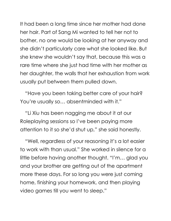It had been a long time since her mother had done her hair. Part of Sang Mi wanted to tell her not to bother, no one would be looking at her anyway and she didn't particularly care what she looked like. But she knew she wouldn't say that, because this was a rare time where she just had time with her mother as her daughter, the walls that her exhaustion from work usually put between them pulled down.

"Have you been taking better care of your hair? You're usually so… absentminded with it."

"Li Xiu has been nagging me about it at our Roleplaying sessions so I've been paying more attention to it so she'd shut up," she said honestly.

"Well, regardless of your reasoning it's a lot easier to work with than usual." She worked in silence for a little before having another thought. "I'm… glad you and your brother are getting out of the apartment more these days. For so long you were just coming home, finishing your homework, and then playing video games till you went to sleep."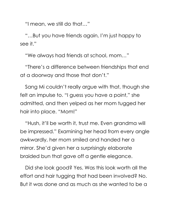"I mean, we still do that…"

"…But you have friends again, I'm just happy to see it."

"We always had friends at school, mom…"

"There's a difference between friendships that end at a doorway and those that don't."

Sang Mi couldn't really argue with that, though she felt an impulse to. "I guess you have a point," she admitted, and then yelped as her mom tugged her hair into place. "Mom!"

"Hush, it'll be worth it, trust me. Even grandma will be impressed." Examining her head from every angle awkwardly, her mom smiled and handed her a mirror. She'd given her a surprisingly elaborate braided bun that gave off a gentle elegance.

Did she look good? Yes. Was this look worth all the effort and hair tugging that had been involved? No. But it was done and as much as she wanted to be a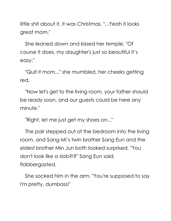little shit about it, it was Christmas. "...Yeah it looks great mom."

She leaned down and kissed her temple, "Of course it does, my daughter's just so beautiful it's easy."

"Quit it mom..." she mumbled, her cheeks getting red.

"Now let's get to the living room, your father should be ready soon, and our guests could be here any minute."

"Right, let me just get my shoes on..."

The pair stepped out of the bedroom into the living room, and Sang Mi's twin brother Sang Eun and the eldest brother Min Jun both looked surprised. "You don't look like a slob?!?" Sang Eun said, flabbergasted.

She socked him in the arm. "You're supposed to say I'm pretty, dumbass!"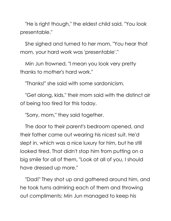"He is right though," the eldest child said. "You look presentable."

She sighed and turned to her mom, "You hear that mom, your hard work was 'presentable'."

Min Jun frowned, "I mean you look very pretty thanks to mother's hard work."

"Thanks!" she said with some sardonicism.

"Get along, kids," their mom said with the distinct air of being too tired for this today.

"Sorry, mom," they said together.

The door to their parent's bedroom opened, and their father came out wearing his nicest suit. He'd slept in, which was a nice luxury for him, but he still looked tired. That didn't stop him from putting on a big smile for all of them, "Look at all of you, I should have dressed up more."

"Dad!" They shot up and gathered around him, and he took turns admiring each of them and throwing out compliments; Min Jun managed to keep his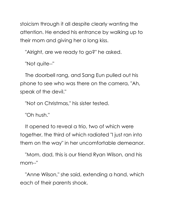stoicism through it all despite clearly wanting the attention. He ended his entrance by walking up to their mom and giving her a long kiss.

"Alright, are we ready to go?" he asked.

"Not quite--"

The doorbell rang, and Sang Eun pulled out his phone to see who was there on the camera, "Ah, speak of the devil."

"Not on Christmas," his sister tested.

"Oh hush."

It opened to reveal a trio, two of which were together, the third of which radiated "I just ran into them on the way" in her uncomfortable demeanor.

"Mom, dad, this is our friend Ryan Wilson, and his mom--"

"Anne Wilson," she said, extending a hand, which each of their parents shook.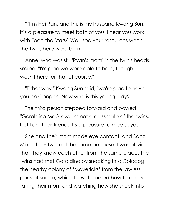""I'm Hei Ran, and this is my husband Kwang Sun. It's a pleasure to meet both of you. I hear you work with Feed the Stars? We used your resources when the twins here were born."

Anne, who was still 'Ryan's mom' in the twin's heads, smiled, "I'm glad we were able to help, though I wasn't here for that of course."

"Either way," Kwang Sun said, "we're glad to have you on Gongen. Now who is this young lady?"

The third person stepped forward and bowed, "Geraldine McGraw, I'm not a classmate of the twins, but I am their friend. It's a pleasure to meet... you."

She and their mom made eye contact, and Sang Mi and her twin did the same because it was obvious that they knew each other from the same place. The twins had met Geraldine by sneaking into Colocog, the nearby colony of 'Mavericks' from the lawless parts of space, which they'd learned how to do by tailing their mom and watching how she snuck into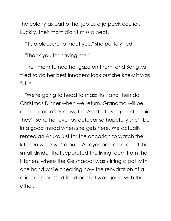the colony as part of her job as a jetpack courier. Luckily, their mom didn't miss a beat.

"It's a pleasure to meet you," she politely lied.

"Thank you for having me."

Their mom turned her gaze on them, and Sang Mi tried to do her best innocent look but she knew it was futile.

"We're going to head to mass first, and then do Christmas Dinner when we return. Grandma will be coming too after mass, the Assisted Living Center said they'll send her over by autocar so hopefully she'll be in a good mood when she gets here. We actually rented an Asuka just for the occasion to watch the kitchen while we're out." All eyes peered around the small divider that separated the living room from the kitchen, where the Geisha-bot was stirring a pot with one hand while checking how the rehydration of a dried compressed food packet was going with the other.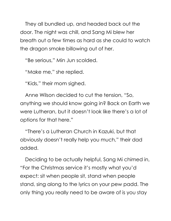They all bundled up, and headed back out the door. The night was chill, and Sang Mi blew her breath out a few times as hard as she could to watch the dragon smoke billowing out of her.

"Be serious," Min Jun scolded.

"Make me," she replied.

"Kids," their mom sighed.

Anne Wilson decided to cut the tension, "So, anything we should know going in? Back on Earth we were Lutheran, but it doesn't look like there's a lot of options for that here."

"There's a Lutheran Church in Kazuki, but that obviously doesn't really help you much," their dad added.

Deciding to be actually helpful, Sang Mi chimed in, "For the Christmas service it's mostly what you'd expect: sit when people sit, stand when people stand, sing along to the lyrics on your pew padd. The only thing you really need to be aware of is you stay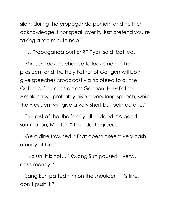silent during the propaganda portion, and neither acknowledge it nor speak over it. Just pretend you're taking a ten minute nap."

"…Propaganda portion?" Ryan said, baffled.

Min Jun took his chance to look smart, "The president and the Holy Father of Gongen will both give speeches broadcast via holofeed to all the Catholic Churches across Gongen. Holy Father Amakusa will probably give a very long speech, while the President will give a very short but pointed one."

The rest of the Jhe family all nodded. "A good summation, Min Jun," their dad agreed.

Geraldine frowned, "That doesn't seem very cash money of him."

"No uh, it is not…" Kwang Sun paused, "very… cash money."

Sang Eun patted him on the shoulder. "It's fine, don't push it."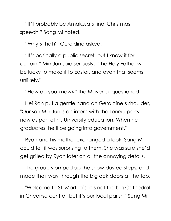"It'll probably be Amakusa's final Christmas speech," Sang Mi noted.

"Why's that?" Geraldine asked.

"It's basically a public secret, but I know it for certain," Min Jun said seriously. "The Holy Father will be lucky to make it to Easter, and even that seems unlikely."

"How do you know?" the Maverick questioned.

Hei Ran put a gentle hand on Geraldine's shoulder, "Our son Min Jun is an intern with the Tenryu party now as part of his University education. When he graduates, he'll be going into government."

Ryan and his mother exchanged a look. Sang Mi could tell it was surprising to them. She was sure she'd get grilled by Ryan later on all the annoying details.

The group stomped up the snow-dusted steps, and made their way through the big oak doors at the top.

"Welcome to St. Martha's, it's not the big Cathedral in Cheonsa central, but it's our local parish," Sang Mi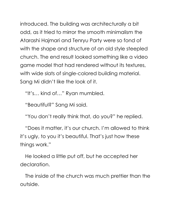introduced. The building was architecturally a bit odd, as it tried to mirror the smooth minimalism the Atarashi Hajmari and Tenryu Party were so fond of with the shape and structure of an old style steepled church. The end result looked something like a video game model that had rendered without its textures, with wide slats of single-colored building material. Sang Mi didn't like the look of it.

"It's… kind of…" Ryan mumbled.

"Beautiful?" Sang Mi said.

"You don't really think that, do you?" he replied.

"Does it matter, it's our church. I'm allowed to think it's ugly, to you it's beautiful. That's just how these things work."

He looked a little put off, but he accepted her declaration.

The inside of the church was much prettier than the outside.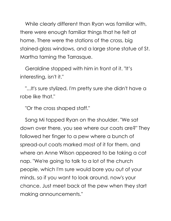While clearly different than Ryan was familiar with, there were enough familiar things that he felt at home. There were the stations of the cross, big stained-glass windows, and a large stone statue of St. Martha taming the Tarrasque.

Geraldine stopped with him in front of it. "It's interesting, isn't it."

"...It's sure stylized. I'm pretty sure she didn't have a robe like that."

"Or the cross shaped staff."

Sang Mi tapped Ryan on the shoulder. "We sat down over there, you see where our coats are?" They followed her finger to a pew where a bunch of spread-out coats marked most of it for them, and where an Anne Wilson appeared to be taking a cat nap. "We're going to talk to a lot of the church people, which I'm sure would bore you out of your minds, so if you want to look around, now's your chance. Just meet back at the pew when they start making announcements."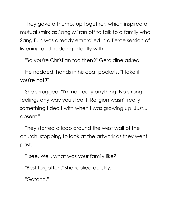They gave a thumbs up together, which inspired a mutual smirk as Sang Mi ran off to talk to a family who Sang Eun was already embroiled in a fierce session of listening and nodding intently with.

"So you're Christian too then?" Geraldine asked.

He nodded, hands in his coat pockets. "I take it you're not?"

She shrugged. "I'm not really anything. No strong feelings any way you slice it. Religion wasn't really something I dealt with when I was growing up. Just... absent."

They started a loop around the west wall of the church, stopping to look at the artwork as they went past.

"I see. Well, what was your family like?"

"Best forgotten," she replied quickly.

"Gotcha."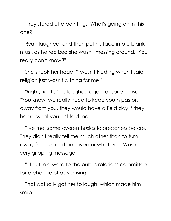They stared at a painting. "What's going on in this one?"

Ryan laughed, and then put his face into a blank mask as he realized she wasn't messing around. "You really don't know?"

She shook her head, "I wasn't kidding when I said religion just wasn't a thing for me."

"Right, right..." he laughed again despite himself. "You know, we really need to keep youth pastors away from you, they would have a field day if they heard what you just told me."

"I've met some overenthusiastic preachers before. They didn't really tell me much other than to turn away from sin and be saved or whatever. Wasn't a very gripping message."

"I'll put in a word to the public relations committee for a change of advertising."

That actually got her to laugh, which made him smile.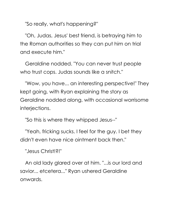"So really, what's happening?"

"Oh, Judas, Jesus' best friend, is betraying him to the Roman authorities so they can put him on trial and execute him."

Geraldine nodded. "You can never trust people who trust cops. Judas sounds like a snitch."

"Wow, you have... an interesting perspective!" They kept going, with Ryan explaining the story as Geraldine nodded along, with occasional worrisome interjections.

"So this is where they whipped Jesus--"

"Yeah, fricking sucks. I feel for the guy. I bet they didn't even have nice ointment back then."

"Jesus Christ!?!"

An old lady glared over at him. "...is our lord and savior... etcetera..." Ryan ushered Geraldine onwards.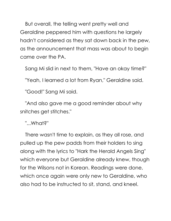But overall, the telling went pretty well and Geraldine peppered him with questions he largely hadn't considered as they sat down back in the pew, as the announcement that mass was about to begin came over the PA.

Sang Mi slid in next to them, "Have an okay time?"

"Yeah, I learned a lot from Ryan," Geraldine said.

"Good!" Sang Mi said.

"And also gave me a good reminder about why snitches get stitches."

"...What?"

There wasn't time to explain, as they all rose, and pulled up the pew padds from their holders to sing along with the lyrics to "Hark the Herald Angels Sing" which everyone but Geraldine already knew, though for the Wilsons not in Korean. Readings were done, which once again were only new to Geraldine, who also had to be instructed to sit, stand, and kneel.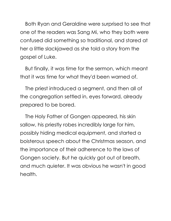Both Ryan and Geraldine were surprised to see that one of the readers was Sang Mi, who they both were confused did something so traditional, and stared at her a little slackjawed as she told a story from the gospel of Luke.

But finally, it was time for the sermon, which meant that it was time for what they'd been warned of.

The priest introduced a segment, and then all of the congregation settled in, eyes forward, already prepared to be bored.

The Holy Father of Gongen appeared, his skin sallow, his priestly robes incredibly large for him, possibly hiding medical equipment, and started a boisterous speech about the Christmas season, and the importance of their adherence to the laws of Gongen society. But he quickly got out of breath, and much quieter. It was obvious he wasn't in good health.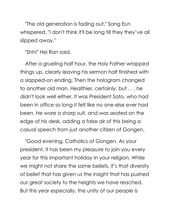"The old generation is fading out," Sang Eun whispered. "I don't think it'll be long till they they've all slipped away."

"Shh!" Hei Ran said.

After a grueling half hour, the Holy Father wrapped things up, clearly leaving his sermon half finished with a slapped-on ending. Then the hologram changed to another old man. Healthier, certainly, but . . . he didn't look well either. It was President Sato, who had been in office so long it felt like no one else ever had been. He wore a sharp suit, and was seated on the edge of his desk, adding a false air of this being a casual speech from just another citizen of Gongen.

"Good evening, Catholics of Gongen. As your president, it has been my pleasure to join you every year for this important holiday in your religion. While we might not share the same beliefs, it's that diversity of belief that has given us the insight that has pushed our great society to the heights we have reached. But this year especially, the unity of our people is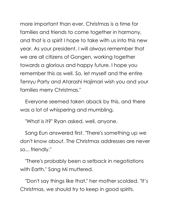more important than ever. Christmas is a time for families and friends to come together in harmony, and that is a spirit I hope to take with us into this new year. As your president, I will always remember that we are all citizens of Gongen, working together towards a glorious and happy future. I hope you remember this as well. So, let myself and the entire Tenryu Party and Atarashi Hajimari wish you and your families merry Christmas."

Everyone seemed taken aback by this, and there was a lot of whispering and mumbling.

"What is it?" Ryan asked, well, anyone.

Sang Eun answered first. "There's something up we don't know about. The Christmas addresses are never so... friendly."

"There's probably been a setback in negotiations with Earth," Sang Mi muttered.

"Don't say things like that," her mother scolded. "It's Christmas, we should try to keep in good spirits.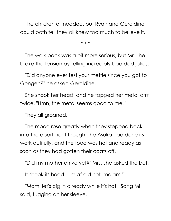The children all nodded, but Ryan and Geraldine could both tell they all knew too much to believe it.

\* \* \*

The walk back was a bit more serious, but Mr. Jhe broke the tension by telling incredibly bad dad jokes.

"Did anyone ever test your mettle since you got to Gongen?" he asked Geraldine.

She shook her head, and he tapped her metal arm twice. "Hmn, the metal seems good to me!"

They all groaned.

The mood rose greatly when they stepped back into the apartment though: the Asuka had done its work dutifully, and the food was hot and ready as soon as they had gotten their coats off.

"Did my mother arrive yet?" Mrs. Jhe asked the bot.

It shook its head. "I'm afraid not, ma'am."

"Mom, let's dig in already while it's hot!" Sang Mi said, tugging on her sleeve.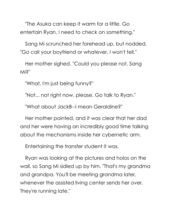"The Asuka can keep it warm for a little. Go entertain Ryan, I need to check on something."

Sang Mi scrunched her forehead up, but nodded. "Go call your boyfriend or whatever, I won't tell."

Her mother sighed. "Could you please not, Sang Mi?"

"What, I'm just being funny?"

"Not... not right now, please. Go talk to Ryan."

"What about JackB--I mean Geraldine?"

Her mother pointed, and it was clear that her dad and her were having an incredibly good time talking about the mechanisms inside her cybernetic arm.

Entertaining the transfer student it was.

Ryan was looking at the pictures and holos on the wall, so Sang Mi sidled up by him. "That's my grandma and grandpa. You'll be meeting grandma later, whenever the assisted living center sends her over. They're running late."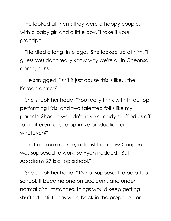He looked at them: they were a happy couple, with a baby girl and a little boy. "I take it your grandpa..."

"He died a long time ago." She looked up at him. "I guess you don't really know why we're all in Cheonsa dome, huh?"

He shrugged, "Isn't it just cause this is like... the Korean district?"

She shook her head. "You really think with three top performing kids, and two talented folks like my parents, Shocho wouldn't have already shuffled us off to a different city to optimize production or whatever?"

That did make sense, at least from how Gongen was supposed to work, so Ryan nodded. "But Academy 27 is a top school."

She shook her head. "It's not supposed to be a top school. It became one on accident, and under normal circumstances, things would keep getting shuffled until things were back in the proper order.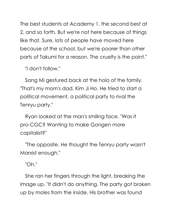The best students at Academy 1, the second best at 2, and so forth. But we're not here because of things like that. Sure, lots of people have moved here because of the school, but we're poorer than other parts of Takumi for a reason. The cruelty is the point."

"I don't follow."

Sang Mi gestured back at the holo of the family. "That's my mom's dad, Kim Ji Ho. He tried to start a political movement, a political party to rival the Tenryu party."

Ryan looked at the man's smiling face. "Was it pro-CGC? Wanting to make Gongen more capitalist?"

"The opposite. He thought the Tenryu party wasn't Marxist enough."

"Oh."

She ran her fingers through the light, breaking the image up. "It didn't do anything. The party got broken up by moles from the inside. His brother was found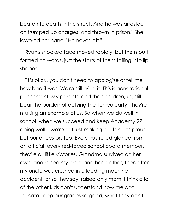beaten to death in the street. And he was arrested on trumped up charges, and thrown in prison." She lowered her hand. "He never left."

Ryan's shocked face moved rapidly, but the mouth formed no words, just the starts of them failing into lip shapes.

"It's okay, you don't need to apologize or tell me how bad it was. We're still living it. This is generational punishment. My parents, and their children, us, still bear the burden of defying the Tenryu party. They're making an example of us. So when we do well in school, when we succeed and keep Academy 27 doing well... we're not just making our families proud, but our ancestors too. Every frustrated glance from an official, every red-faced school board member, they're all little victories. Grandma survived on her own, and raised my mom and her brother, then after my uncle was crushed in a loading machine accident, or so they say, raised only mom. I think a lot of the other kids don't understand how me and Talinata keep our grades so good, what they don't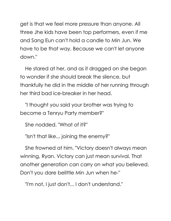get is that we feel more pressure than anyone. All three Jhe kids have been top performers, even if me and Sang Eun can't hold a candle to Min Jun. We have to be that way. Because we can't let anyone down."

He stared at her, and as it dragged on she began to wonder if she should break the silence, but thankfully he did in the middle of her running through her third bad ice-breaker in her head.

"I thought you said your brother was trying to become a Tenryu Party member?"

She nodded. "What of it?"

"Isn't that like... joining the enemy?"

She frowned at him. "Victory doesn't always mean winning, Ryan. Victory can just mean survival. That another generation can carry on what you believed. Don't you dare belittle Min Jun when he-"

"I'm not, I just don't... I don't understand."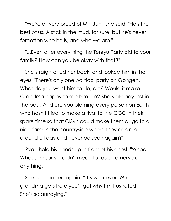"We're all very proud of Min Jun," she said. "He's the best of us. A stick in the mud, for sure, but he's never forgotten who he is, and who we are."

"...Even after everything the Tenryu Party did to your family? How can you be okay with that?"

She straightened her back, and looked him in the eyes. "There's only one political party on Gongen. What do you want him to do, die? Would it make Grandma happy to see him die? She's already lost in the past. And are you blaming every person on Earth who hasn't tried to make a rival to the CGC in their spare time so that CISyn could make them all go to a nice farm in the countryside where they can run around all day and never be seen again?"

Ryan held his hands up in front of his chest. "Whoa. Whoa. I'm sorry, I didn't mean to touch a nerve or anything."

She just nodded again. "It's whatever. When grandma gets here you'll get why I'm frustrated. She's so annoying."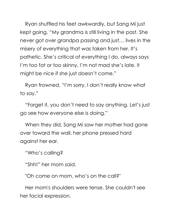Ryan shuffled his feet awkwardly, but Sang Mi just kept going. "My grandma is still living in the past. She never got over grandpa passing and just… lives in the misery of everything that was taken from her. It's pathetic. She's critical of everything I do, always says I'm too fat or too skinny, I'm not mad she's late, it might be nice if she just doesn't come."

Ryan frowned. "I'm sorry, I don't really know what to say."

"Forget it, you don't need to say anything. Let's just go see how everyone else is doing."

When they did, Sang Mi saw her mother had gone over toward the wall, her phone pressed hard against her ear.

"Who's calling?

"Shh!" her mom said.

"Oh come on mom, who's on the call?"

Her mom's shoulders were tense. She couldn't see her facial expression.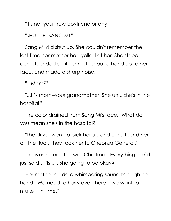"It's not your new boyfriend or any--"

"SHUT UP, SANG MI."

Sang Mi did shut up. She couldn't remember the last time her mother had yelled at her. She stood, dumbfounded until her mother put a hand up to her face, and made a sharp noise.

"...Mom?"

"...It's mom--your grandmother. She uh... she's in the hospital."

The color drained from Sang Mi's face. "What do you mean she's in the hospital?"

"The driver went to pick her up and um... found her on the floor. They took her to Cheonsa General."

This wasn't real. This was Christmas. Everything she'd just said… "Is... is she going to be okay?"

Her mother made a whimpering sound through her hand. "We need to hurry over there if we want to make it in time."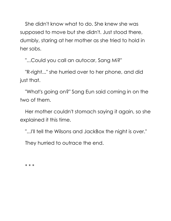She didn't know what to do. She knew she was supposed to move but she didn't. Just stood there, dumbly, staring at her mother as she tried to hold in her sobs.

"...Could you call an autocar, Sang Mi?"

"R-right..." she hurried over to her phone, and did just that.

"What's going on?" Sang Eun said coming in on the two of them.

Her mother couldn't stomach saying it again, so she explained it this time.

"...I'll tell the Wilsons and JackBox the night is over."

They hurried to outrace the end.

\* \* \*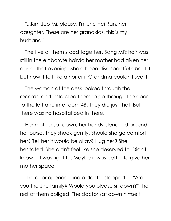"...Kim Joo Mi, please. I'm Jhe Hei Ran, her daughter. These are her grandkids, this is my husband."

The five of them stood together. Sang Mi's hair was still in the elaborate hairdo her mother had given her earlier that evening. She'd been disrespectful about it but now it felt like a horror if Grandma couldn't see it.

The woman at the desk looked through the records, and instructed them to go through the door to the left and into room 4B. They did just that. But there was no hospital bed in there.

Her mother sat down, her hands clenched around her purse. They shook gently. Should she go comfort her? Tell her it would be okay? Hug her? She hesitated. She didn't feel like she deserved to. Didn't know if it was right to. Maybe it was better to give her mother space.

The door opened, and a doctor stepped in. "Are you the Jhe family? Would you please sit down?" The rest of them obliged. The doctor sat down himself,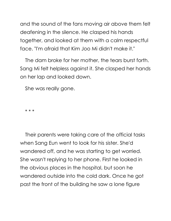and the sound of the fans moving air above them felt deafening in the silence. He clasped his hands together, and looked at them with a calm respectful face. "I'm afraid that Kim Joo Mi didn't make it."

The dam broke for her mother, the tears burst forth. Sang Mi felt helpless against it. She clasped her hands on her lap and looked down.

She was really gone.

\* \* \*

Their parents were taking care of the official tasks when Sang Eun went to look for his sister. She'd wandered off, and he was starting to get worried. She wasn't replying to her phone. First he looked in the obvious places in the hospital, but soon he wandered outside into the cold dark. Once he got past the front of the building he saw a lone figure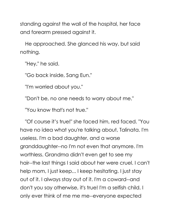standing against the wall of the hospital, her face and forearm pressed against it.

He approached. She glanced his way, but said nothing.

"Hey," he said.

"Go back inside, Sang Eun."

"I'm worried about you."

"Don't be, no one needs to worry about me."

"You know that's not true."

"Of course it's true!" she faced him, red faced. "You have no idea what you're talking about, Talinata. I'm useless. I'm a bad daughter, and a worse granddaughter--no I'm not even that anymore. I'm worthless. Grandma didn't even get to see my hair--the last things I said about her were cruel. I can't help mom, I just keep... I keep hesitating. I just stay out of it. I always stay out of it. I'm a coward--and don't you say otherwise, it's true! I'm a selfish child. I only ever think of me me me--everyone expected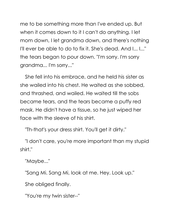me to be something more than I've ended up. But when it comes down to it I can't do anything. I let mom down, I let grandma down, and there's nothing I'll ever be able to do to fix it. She's dead. And I... I..." the tears began to pour down. "I'm sorry. I'm sorry grandma... I'm sorry..."

She fell into his embrace, and he held his sister as she wailed into his chest. He waited as she sobbed, and thrashed, and wailed. He waited till the sobs became tears, and the tears became a puffy red mask. He didn't have a tissue, so he just wiped her face with the sleeve of his shirt.

"Th-that's your dress shirt. You'll get it dirty."

"I don't care, you're more important than my stupid shirt."

"Maybe..."

"Sang Mi. Sang Mi, look at me. Hey. Look up."

She obliged finally.

"You're my twin sister--"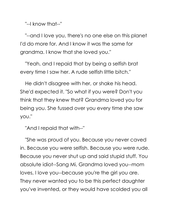"--I know that--"

"--and I love you, there's no one else on this planet I'd do more for. And I know it was the same for grandma. I know that she loved you."

"Yeah, and I repaid that by being a selfish brat every time I saw her. A rude selfish little bitch."

He didn't disagree with her, or shake his head. She'd expected it. "So what if you were? Don't you think that they knew that? Grandma loved you for being you. She fussed over you every time she saw you."

"And I repaid that with--"

"She was proud of you. Because you never caved in. Because you were selfish. Because you were rude. Because you never shut up and said stupid stuff. You absolute idiot--Sang Mi, Grandma loved you--mom loves, I love you--because you're the girl you are. They never wanted you to be this perfect daughter you've invented, or they would have scolded you all